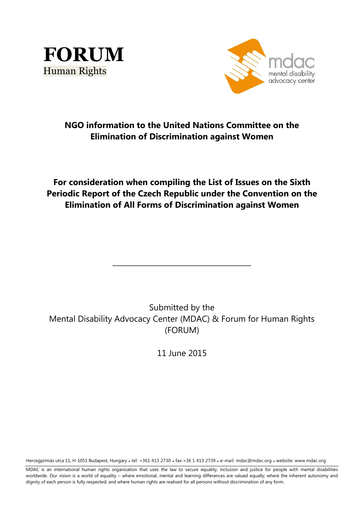



# **NGO information to the United Nations Committee on the Elimination of Discrimination against Women**

# **For consideration when compiling the List of Issues on the Sixth Periodic Report of the Czech Republic under the Convention on the Elimination of All Forms of Discrimination against Women**

Submitted by the Mental Disability Advocacy Center (MDAC) & Forum for Human Rights (FORUM)

**\_\_\_\_\_\_\_\_\_\_\_\_\_\_\_\_\_\_\_\_\_\_\_\_\_\_\_\_\_\_\_\_\_\_\_\_\_\_\_**

11 June 2015

Hercegprímás utca 11, H-1051 Budapest, Hungary • tel: +361 413 2730 • fax:+36 1 413 2739 • e-mail: mdac@mdac.org • website: www.mdac.org

MDAC is an international human rights organisation that uses the law to secure equality, inclusion and justice for people with mental disabilities worldwide. Our vision is a world of equality – where emotional, mental and learning differences are valued equally; where the inherent autonomy and dignity of each person is fully respected; and where human rights are realised for all persons without discrimination of any form.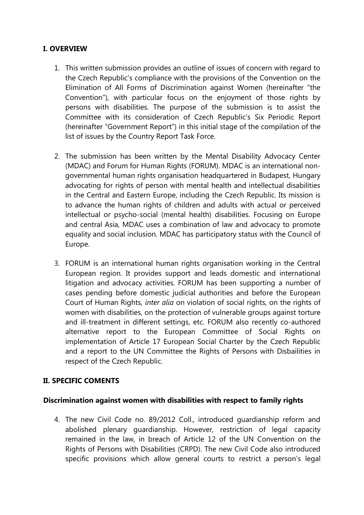# **I. OVERVIEW**

- 1. This written submission provides an outline of issues of concern with regard to the Czech Republic's compliance with the provisions of the Convention on the Elimination of All Forms of Discrimination against Women (hereinafter "the Convention"), with particular focus on the enjoyment of those rights by persons with disabilities. The purpose of the submission is to assist the Committee with its consideration of Czech Republic's Six Periodic Report (hereinafter "Government Report") in this initial stage of the compilation of the list of issues by the Country Report Task Force.
- 2. The submission has been written by the Mental Disability Advocacy Center (MDAC) and Forum for Human Rights (FORUM). MDAC is an international nongovernmental human rights organisation headquartered in Budapest, Hungary advocating for rights of person with mental health and intellectual disabilities in the Central and Eastern Europe, including the Czech Republic. Its mission is to advance the human rights of children and adults with actual or perceived intellectual or psycho-social (mental health) disabilities. Focusing on Europe and central Asia, MDAC uses a combination of law and advocacy to promote equality and social inclusion. MDAC has participatory status with the Council of Europe.
- 3. FORUM is an international human rights organisation working in the Central European region. It provides support and leads domestic and international litigation and advocacy activities. FORUM has been supporting a number of cases pending before domestic judicial authorities and before the European Court of Human Rights, *inter alia* on violation of social rights, on the rights of women with disabilities, on the protection of vulnerable groups against torture and ill-treatment in different settings, etc. FORUM also recently co-authored alternative report to the European Committee of Social Rights on implementation of Article 17 European Social Charter by the Czech Republic and a report to the UN Committee the Rights of Persons with Disbailities in respect of the Czech Republic.

# **II. SPECIFIC COMENTS**

#### **Discrimination against women with disabilities with respect to family rights**

4. The new Civil Code no. 89/2012 Coll., introduced guardianship reform and abolished plenary guardianship. However, restriction of legal capacity remained in the law, in breach of Article 12 of the UN Convention on the Rights of Persons with Disabilities (CRPD). The new Civil Code also introduced specific provisions which allow general courts to restrict a person's legal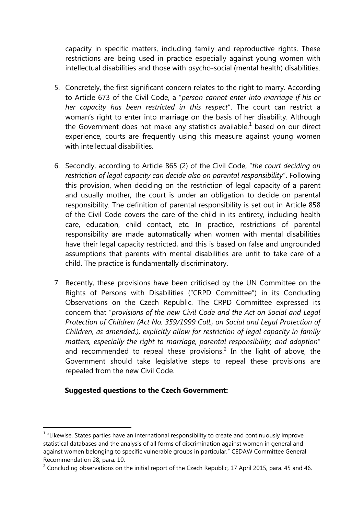capacity in specific matters, including family and reproductive rights. These restrictions are being used in practice especially against young women with intellectual disabilities and those with psycho-social (mental health) disabilities.

- 5. Concretely, the first significant concern relates to the right to marry. According to Article 673 of the Civil Code, a "*person cannot enter into marriage if his or her capacity has been restricted in this respect*". The court can restrict a woman's right to enter into marriage on the basis of her disability. Although the Government does not make any statistics available, $1$  based on our direct experience, courts are frequently using this measure against young women with intellectual disabilities.
- 6. Secondly, according to Article 865 (2) of the Civil Code, "*the court deciding on restriction of legal capacity can decide also on parental responsibility*". Following this provision, when deciding on the restriction of legal capacity of a parent and usually mother, the court is under an obligation to decide on parental responsibility. The definition of parental responsibility is set out in Article 858 of the Civil Code covers the care of the child in its entirety, including health care, education, child contact, etc. In practice, restrictions of parental responsibility are made automatically when women with mental disabilities have their legal capacity restricted, and this is based on false and ungrounded assumptions that parents with mental disabilities are unfit to take care of a child. The practice is fundamentally discriminatory.
- 7. Recently, these provisions have been criticised by the UN Committee on the Rights of Persons with Disabilities ("CRPD Committee") in its Concluding Observations on the Czech Republic. The CRPD Committee expressed its concern that "*provisions of the new Civil Code and the Act on Social and Legal Protection of Children (Act No. 359/1999 Coll., on Social and Legal Protection of Children, as amended.), explicitly allow for restriction of legal capacity in family matters, especially the right to marriage, parental responsibility, and adoption*" and recommended to repeal these provisions.<sup>2</sup> In the light of above, the Government should take legislative steps to repeal these provisions are repealed from the new Civil Code.

## **Suggested questions to the Czech Government:**

<u>.</u>

 $1$  "Likewise, States parties have an international responsibility to create and continuously improve statistical databases and the analysis of all forms of discrimination against women in general and against women belonging to specific vulnerable groups in particular." CEDAW Committee General Recommendation 28, para. 10.

<sup>&</sup>lt;sup>2</sup> Concluding observations on the initial report of the Czech Republic, 17 April 2015, para. 45 and 46.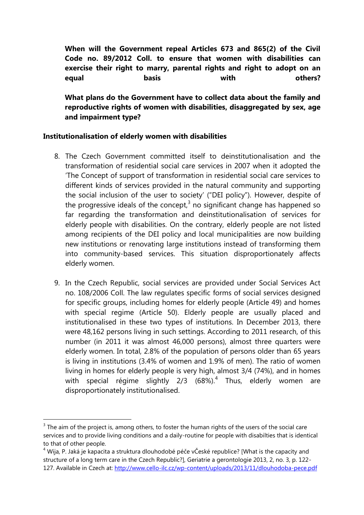**When will the Government repeal Articles 673 and 865(2) of the Civil Code no. 89/2012 Coll. to ensure that women with disabilities can exercise their right to marry, parental rights and right to adopt on an equal basis with others?**

**What plans do the Government have to collect data about the family and reproductive rights of women with disabilities, disaggregated by sex, age and impairment type?**

### **Institutionalisation of elderly women with disabilities**

- 8. The Czech Government committed itself to deinstitutionalisation and the transformation of residential social care services in 2007 when it adopted the 'The Concept of support of transformation in residential social care services to different kinds of services provided in the natural community and supporting the social inclusion of the user to society' ("DEI policy"). However, despite of the progressive ideals of the concept, $3$  no significant change has happened so far regarding the transformation and deinstitutionalisation of services for elderly people with disabilities. On the contrary, elderly people are not listed among recipients of the DEI policy and local municipalities are now building new institutions or renovating large institutions instead of transforming them into community-based services. This situation disproportionately affects elderly women.
- 9. In the Czech Republic, social services are provided under Social Services Act no. 108/2006 Coll. The law regulates specific forms of social services designed for specific groups, including homes for elderly people (Article 49) and homes with special regime (Article 50). Elderly people are usually placed and institutionalised in these two types of institutions. In December 2013, there were 48,162 persons living in such settings. According to 2011 research, of this number (in 2011 it was almost 46,000 persons), almost three quarters were elderly women. In total, 2.8% of the population of persons older than 65 years is living in institutions (3.4% of women and 1.9% of men). The ratio of women living in homes for elderly people is very high, almost 3/4 (74%), and in homes with special régime slightly 2/3 (68%).<sup>4</sup> Thus, elderly women are disproportionately institutionalised.

1

 $3$  The aim of the project is, among others, to foster the human rights of the users of the social care services and to provide living conditions and a daily-routine for people with disabilties that is identical to that of other people.

 $4$  Wija, P. Jaká je kapacita a struktura dlouhodobé péče vČeské republice? [What is the capacity and structure of a long term care in the Czech Republic?], Geriatrie a gerontologie 2013, 2, no. 3, p. 122 127. Available in Czech at:<http://www.cello-ilc.cz/wp-content/uploads/2013/11/dlouhodoba-pece.pdf>